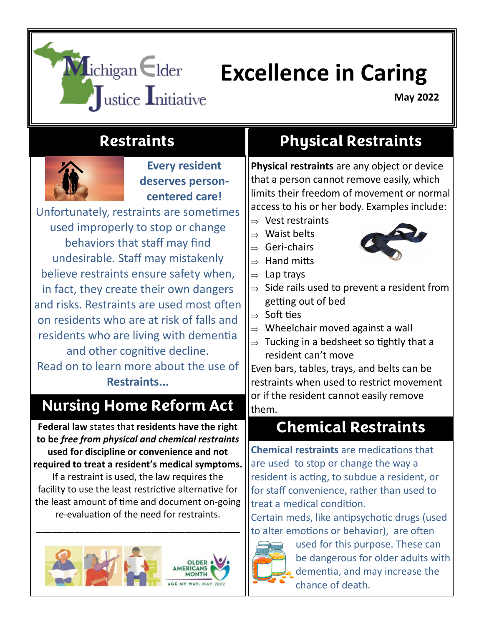# **Michigan Elder Excellence in Caring**<br>Justice Initiative **Excellence** in Caring

**May 2022**

#### **Restraints**



**Every resident deserves personcentered care!** 

Unfortunately, restraints are sometimes used improperly to stop or change behaviors that staff may find undesirable. Staff may mistakenly believe restraints ensure safety when, in fact, they create their own dangers and risks. Restraints are used most often on residents who are at risk of falls and residents who are living with dementia and other cognitive decline. Read on to learn more about the use of **Restraints...** 

#### **Nursing Home Reform Act**

**Federal law** states that **residents have the right to be** *free from physical and chemical restraints*  **used for discipline or convenience and not required to treat a resident's medical symptoms.**  If a restraint is used, the law requires the

facility to use the least restrictive alternative for the least amount of time and document on-going re-evaluation of the need for restraints.

\_\_\_\_\_\_\_\_\_\_\_\_\_\_\_\_\_\_\_\_\_\_\_\_\_\_\_\_\_\_\_\_\_\_\_\_\_



## **Physical Restraints**

**Physical restraints** are any object or device that a person cannot remove easily, which limits their freedom of movement or normal access to his or her body. Examples include:

- $\Rightarrow$  Vest restraints
- $\Rightarrow$  Waist belts
- $\Rightarrow$  Geri-chairs

 $\Rightarrow$  Lap trays

 $\Rightarrow$  Hand mitts



- $\Rightarrow$  Side rails used to prevent a resident from getting out of bed
- $\Rightarrow$  Soft ties
- $\Rightarrow$  Wheelchair moved against a wall
- $\Rightarrow$  Tucking in a bedsheet so tightly that a resident can't move

Even bars, tables, trays, and belts can be restraints when used to restrict movement or if the resident cannot easily remove them.

## **Chemical Restraints**

**Chemical restraints** are medications that are used to stop or change the way a resident is acting, to subdue a resident, or for staff convenience, rather than used to treat a medical condition.

Certain meds, like antipsychotic drugs (used to alter emotions or behavior), are often



used for this purpose. These can be dangerous for older adults with dementia, and may increase the chance of death.